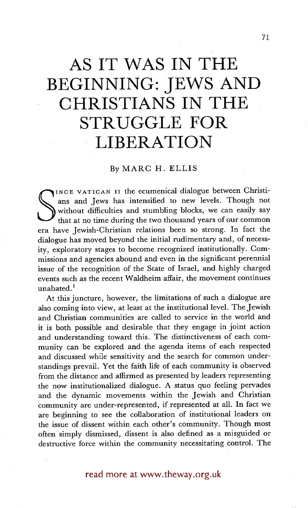# **AS IT WAS IN THE BEGINNING: JEWS AND CHRISTIANS IN THE STRUGGLE FOR LIBERATION**

# By MARC H. **ELLIS**

 $\bigcup_{t}^{\infty}$ **INCE VATICAN II** the ecumenical dialogue between Christians and Jews has intensified to new levels. Though not without difficulties and stumbling blocks, we can easily say that at no time during the two thousand years of our common era have Jewish-Christian relations been so strong. In fact the dialogue has moved beyond the initial rudimentary and, of necessity, exploratory stages to become recognized institutionally. Commissions and agencies abound and even in the significant perennial issue of the recognition of the State of Israel, and highly charged events such as the recent Waldheim affair, the movement continues unabated.<sup>1</sup>

At this juncture, however, the limitations of such a dialogue are also coming into view, at least at the institutional level. The Jewish and Christian communities are called to service in the world and it is both possible and desirable that they engage in joint action and understanding toward this. The distinctiveness of each community can be explored and the agenda items of each respected and discussed while sensitivity and the search for common understandings prevail. Yet the faith life of each community is observed from the distance and affirmed as presented by leaders representing the now institutionalized dialogue. A status quo feeling pervades and the dynamic movements within the Jewish and Christian community are under-represented, if represented at all. In fact we are beginning to see the collaboration of institutional leaders on the issue of dissent within each other's community. Though most often simply dismissed, dissent is also defined as a misguided or destructive force within the community necessitating control. The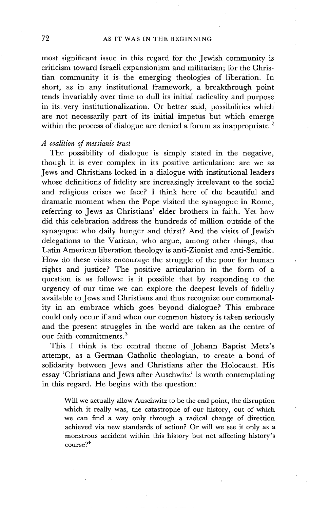most significant issue in this regard for the Jewish community is criticism toward Israeli expansionism and militarism; for the Christian community it is the emerging theologies of liberation. In short, as in any institutional framework, a breakthrough point tends invariably over time to dull its initial radicality and purpose in its very institutionalization. Or better said, possibilities which are not necessarily part of its initial impetus but which emerge within the process of dialogue are denied a forum as inappropriate.<sup>2</sup>

#### *A coalition of messianic trust*

The possibility of dialogue is simply stated in the negative, though it is ever complex in its positive articulation: are we as Jews and Christians locked in a dialogue with institutional leaders whose definitions of fidelity are increasingly irrelevant to the social and religious crises we face? I think here of the beautiful and dramatic moment when the Pope visited the synagogue in Rome, referring to Jews as Christians' elder brothers in faith. Yet how did this celebration address the hundreds of million outside of the synagogue Who daily hunger and thirst? And the visits of Jewish delegations to the Vatican, who argue, among other things, that Latin American liberation theology is anti-Zionist and anti-Semitic. How do these visits encourage the struggle of the poor for human rights and justice? The positive articulation in the form of a question is as follows: is it possible that by responding to the urgency of our time we can explore the deepest levels of fidelity available to Jews and Christians and thus recognize our commonality in an embrace which goes beyond dialogue? This embrace could only occur if and when our common history is taken seriously and the present struggles in the world are taken as the centre of our faith commitments.<sup>3</sup>

This I think is the central theme of Johann Baptist Metz's attempt, as a German Catholic theologian, to create a bond of solidarity between Jews and Christians after the Holocaust. His essay 'Christians and Jews after Auschwitz' is worth contemplating in this regard. He begins with the question:

Will we actually allow Auschwitz to be the end point, the disruption which it really was, the catastrophe of our history, out of which we can find a way only through a radical change of direction achieved via new standards of action? Or will we see it only as a monstrous accident within this history but not affecting history's course?<sup>4</sup>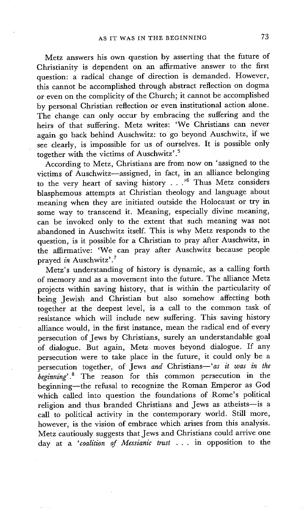Metz answers his own question by asserting that the future of Christianity is dependent on an affirmative answer to the first question: a radical change of direction is demanded. However, this cannot be accomplished through abstract reflection on dogma or even on the complicity of the Church; it cannot be accomplished by personal Christian reflection or even institutional action alone. The change can only occur by embracing the suffering and the heirs of that suffering. Metz writes: 'We Christians can never again go back behind Auschwitz: to go beyond Auschwitz, if we see clearly, is impossible for us of ourselves. It is possible only together with the victims of Auschwitz' .5

According to Metz, Christians are from now on 'assigned to the victims of Auschwitz--assigned, in fact, in an alliance belonging to the very heart of saving history  $\ldots$ <sup>56</sup> Thus Metz considers blasphemous attempts at Christian theology and language about meaning when they are initiated outside the Holocaust or try in some way to transcend it. Meaning, especially divine meaning, can be invoked only to the extent that such meaning was not abandoned in Auschwitz itself. This is why Metz responds to the question, is it possible for a Christian to pray after Auschwitz, in the affirmative: 'We can pray after Auschwitz because people prayed *in* Auschwitz'. 7

Metz's understanding of history is dynamic, as a calling forth of memory and as a movement into the future. The alliance Metz projects within saving history, that is within the particularity of being Jewish and Christian but also somehow affecting both together at the deepest level, is a call to the common task of resistance which will include new suffering. This saving history alliance would, in the first instance, mean the radical end of every persecution of Jews by Christians, surely an understandable goal of dialogue. But again, Metz moves beyond dialogue. If any persecution were to take place in the future, it could only be a persecution together, of Jews and Christians-'as it was in the *beginning'.*<sup>8</sup> The reason for this common persecution in the beginning--the refusal to recognize the Roman Emperor as God which called into question the foundations of Rome's political religion and thus branded Christians and Jews as atheists-is a call to political activity in the contemporary world. Still more, however, is the vision of embrace which arises from this analysis. Metz cautiously suggests that Jews and Christians could arrive one day at a *'coalition of Messianic trust ...* in opposition to the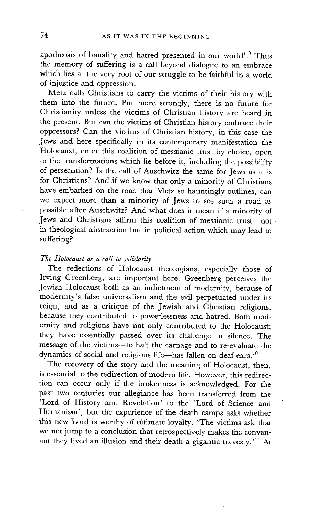apotheosis of banality and hatred presented in our world'.<sup>9</sup> Thus the memory of suffering is a call beyond dialogue to an embrace which lies at the very root of our struggle to be faithful in a world of injustice and oppression.

Metz calls Christians to carry the victims of their history with them into the future. Put more strongly, there is no future for Christianity unless the victims of Christian history are heard in the present. But can the victims of Christian history embrace their oppressors? Can the victims of Christian history, in this case the Jews and here specifically in its contemporary manifestation the Holocaust, enter this coalition of messianic trust by choice, open to the transformations which lie before it, including the possibility of persecution? Is the call of Auschwitz the same for Jews as it is for Christians? And if we know that only a minority of Christians have embarked on the road that Metz so hauntingly outlines, can we expect more than a minority of Jews to see such a road as possible after Auschwitz? And what does it mean if a minority of Jews and Christians affirm this coalition of messianic trust--not in theological abstraction but in political action which may lead to suffering?

### *The Holocaust as a call to solidarity*

The reflections of Holocaust theologians, especially those of Irving Greenberg, are important here. Greenberg perceives the Jewish Holocaust both as an indictment of modernity, because of modernity's false universalism and the evil perpetuated under its reign, and as a critique of the Jewish and Christian religions, because they contributed to powerlessness and hatred. Both modernity and religions have not only contributed to the Holocaust; they have essentially passed over its challenge in silence. The message of the victims--to halt the carnage and to re-evaluate the dynamics of social and religious life-has fallen on deaf ears.<sup>10</sup>

The recovery of the story and the meaning of Holocaust, then, is essential to the redirection of modern life. However, this redirection can occur only if the brokenness is acknowledged. For the past two centuries our allegiance has been transferred from the 'Lord of History and Revelation' to the 'Lord of Science and Humanism', but the experience of the death camps asks whether this new Lord is worthy of ultimate loyalty. 'The victims ask that we not jump to a conclusion that retrospectively makes the convenant they lived an illusion and their death a gigantic travesty. '11 At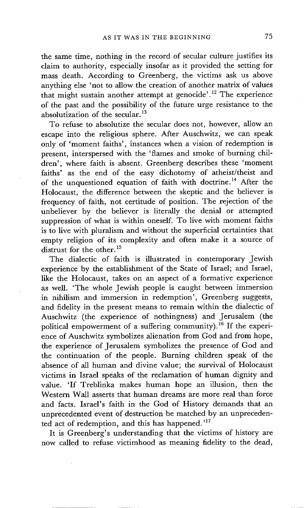the same time, nothing in the record of secular culture justifies its claim to authority, especially insofar as it provided the setting for mass death. According to Greenberg, the victims ask us above anything else 'not to allow the creation of another matrix of values that might sustain another attempt at genocide'.<sup>12</sup> The experience of the past and the possibility of the future urge resistance to the absolutization of the secular.<sup>13</sup>

To refuse to absolutize the secular does not, however, allow an escape into the religious sphere. After Auschwitz, we can speak only of 'moment faiths', instances when a vision of redemption is present, interspersed with the 'flames and smoke of burning children', where faith is absent. Greenberg describes these 'moment faiths' as the end of the easy dichotomy of atheist/theist and of the unquestioned equation of faith with doctrine. 14 After the Holocaust, the difference between the skeptic and the believer is frequency of faith, not certitude of position. The rejection of the unbeliever by the believer is literally the denial or attempted suppression of what is within oneself. To live with moment faiths is to live with pluralism and without the superficial certainties that empty religion of its complexity and often make it a source of distrust for the other.<sup>15</sup>

The dialectic of faith is illustrated in contemporary Jewish experience by the establishment of the State of Israel; and Israel, like the Holocaust, takes on an aspect of a formative experience as well. 'The whole Jewish people is caught between immersion in nihilism and immersion in redemption', Greenberg suggests, and fidelity in the present means to remain within the dialectic of Auschwitz (the experience of nothingness) and Jerusalem (the political empowerment of a suffering community).<sup>16</sup> If the experience of Auschwitz symbolizes alienation from God and from hope, the experience of Jerusalem symbolizes the presence of God and the continuation of the people. Burning children speak of the absence of all human and divine value; the survival of Holocaust victims in Israel speaks of the reclamation of human dignity and value. 'If Treblinka makes human hope an illusion, then the Western Wall asserts that human dreams are more real than force and facts. Israel's faith in the God of History demands that an unprecedented event of destruction be matched by an unprecedented act of redemption, and this has happened. '17

It is Greenberg's understanding that the victims of history are now called to refuse victimhood as meaning fidelity to the dead,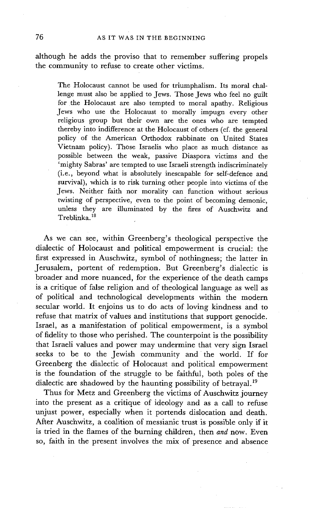although he adds the proviso that to remember suffering propels the community to refuse to create other victims.

The Holocaust cannot be used for triumphalism. Its moral challenge must also be applied to Jews. Those Jews who feel no guilt for the Holocaust are also tempted to moral apathy. Religious Jews who use the Holocaust to morally impugn every other religious group but their own are the ones who are tempted thereby into indifference at the Holocaust of others (cf. the general policy of the American Orthodox rabbinate on United States Vietnam policy). Those Israelis who place as much distance as possible between the weak, passive Diaspora victims and the 'mighty Sabras' are tempted to use Israeli strength indiscriminately (i.e., beyond what is absolutely inescapable for self-defence and survival), which is to risk turning other people into victims of the Jews. Neither faith nor morality can function without serious twisting of perspective, even to the point of becoming demonic, unless they are illuminated by the fires of Auschwitz and Treblinka.<sup>18</sup>

As we can see, within Greenberg's theological perspective the dialectic of Holocaust and political empowerment is crucial: the first expressed in Auschwitz, symbol of nothingness; the latter in Jerusalem, portent of redemption. But Greenberg's dialectic is broader and more nuanced, for the experience of the death camps is a critique of false religion and of theological language as well as of political and technological developments within the modern secular world. It enjoins us to do acts of loving kindness and to refuse that matrix of values and institutions that support genocide. Israel, as a manifestation of political empowerment, is a symbol of fidelity to those who perished. The counterpoint is the possibility that Israeli values and power may undermine that very sign Israel seeks to be to the Jewish community and the world. If for Greenberg the dialectic of Holocaust and political empowerment is the foundation of the struggle to be faithful, both poles of the dialectic are shadowed by the haunting possibility of betrayal.<sup>19</sup>

Thus for Metz and Greenberg the victims of Auschwitz journey into the present as a critique of ideology and as a call to refuse unjust power, especially when it portends dislocation and death. After Auschwitz, a coalition of messianic trust is possible only if it is tried in the flames of the burning children, then *and* now. Even so, faith in the present involves the mix of presence and absence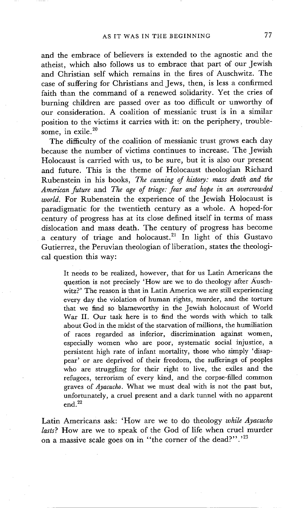and the embrace of believers is extended to the agnostic and the atheist, which also follows us to embrace that part of our Jewish and Christian self which remains in the fires of Auschwitz. The case of suffering for Christians and Jews, then, is less a confirmed faith than the command of a renewed solidarity. Yet the cries of burning children are passed over as too difficult or unworthy of our consideration. A coalition of messianic trust is in a similar position to the victims it carries with it: on the periphery, troublesome, in exile. $20$ 

The difficulty of the coalition of messianic trust grows each day because the number of victims continues to increase. The Jewish Holocaust is carried with us, to be sure, but it is also our present and future. This is the theme of Holocaust theologian Richard Rubenstein in his books, *The cunning of history: mass death and the American future* and *The age of triage: fear and hope in an overcrowded world.* For Rubenstein the experience of the Jewish Holocaust is paradigmatic for the twentieth century as a whole. A hoped-for century of progress has at its close defined itself in terms of mass dislocation and mass death. The century of progress has become a century of triage and holocaust.<sup>21</sup> In light of this Gustavo Gutierrez, the Peruvian theologian of liberation, states the theological question this way:

It needs to be realized, however, that for us Latin Americans the question is not precisely 'How are we to do theology after Auschwitz?' The reason is that in Latin America we are still experiencing every day the violation of human rights, murder, and the torture that we find so blameworthy in the Jewish holocaust of World War II. Our task here is to find the words with which to talk about God in the midst of the starvation of millions, the humiliation of races regarded as inferior, discrimination against women, especially women who are poor, systematic social injustice, a persistent high rate of infant mortality, those who simply 'disappear' or are deprived of their freedom, the sufferings of peoples who are struggling for their right to live, the exiles and the refugees, terrorism of every kind, and the corpse-filled common graves of *Ayacucho.* What we must deal with is not the past but, unfortunately, a cruel present and a dark tunnel with no apparent end. 22

Latin Americans ask: 'How are we to do theology *while Ayacucho lasts?* How are we to speak of the God of life when cruel murder on a massive scale goes on in "the corner of the dead?". '23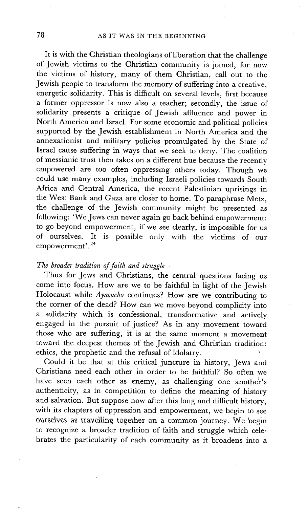It is with the Christian theologians of liberation that the challenge of Jewish victims to the Christian community is joined, for now the victims of history, many of them Christian, call out to the Jewish people to transform the memory of suffering into a creative, energetic solidarity. This is difficult on several levels, first because a former oppressor is now also a teacher; secondly, the issue of solidarity presents a critique of Jewish affluence and power in North America and Israel. For some economic and political policies supported by the Jewish establishment in North America and the annexationist and military policies promulgated by the State of Israel cause suffering in ways that we seek to deny. The coalition of messianic trust then takes on a different hue because the recently empowered are too often oppressing others today. Though we could use many examples, including Israeli policies towards South Africa and Central America, the recent Palestinian uprisings in the West Bank and Gaza are closer to home. To paraphrase Metz, the challenge of the Jewish community might be presented as following: 'We Jews can never again go back behind empowerment: to go beyond empowerment, if we see clearly, is impossible for us of ourselves. It is possible only with the victims of our empowerment'. 24

# *The broader tradition of faith and struggle*

Thus for Jews and Christians, the central questions facing us come into focus. How are we to be faithful in light of the Jewish Holocaust while *Ayacucho* continues? How are we contributing to the corner of the dead? How can we move beyond complicity into a solidarity which is confessional, transformative and actively engaged in the pursuit of justice? As in any movement toward those who are suffering, it is at the same moment a movement toward the deepest themes of the Jewish and Christian tradition: ethics, the prophetic and the refusal of idolatry.

Could it be that at this critical juncture in history, Jews and Christians need each other in order to be faithful? So often we have seen each other as enemy, as challenging one another's authenticity, as in competition to define the meaning of history and salvation. But suppose now after this long and difficult history, with its chapters of oppression and empowerment, we begin to see ourselves as travelling together on a common journey. We begin to recognize a broader tradition of faith and struggle which celebrates the particularity of each community as it broadens into a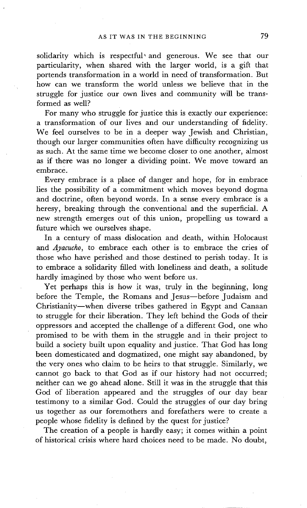solidarity which is respectful and generous. We see that our particularity, when shared with the larger world, is a gift that portends transformation in a world in need of transformation. But how can we transform the world unless we believe that in the struggle for justice our own lives and community will be transformed as well?

For many who struggle for justice this is exactly our experience: a transformation of our lives and our understanding of fidelity. We feel ourselves to be in a deeper way Jewish and Christian, though our larger communities often have difficulty recognizing us as such. At the same time we become closer to one another, almost as if there was no longer a dividing point. We move toward an embrace.

Every embrace is a place of danger and hope, for in embrace lies the possibility of a commitment which moves beyond dogma and doctrine, often beyond words. In a sense every embrace is a heresy, breaking through the conventional and the superficial. A new strength emerges out of this union, propelling us toward a future which we ourselves shape.

In a century of mass dislocation and death, within Holocaust and *Ayacucho,* to embrace each other is to embrace the cries of those who have perished and those destined to perish today. It is to embrace a solidarity filled with loneliness and death, a solitude hardly imagined by those who went before us.

Yet perhaps this is how it was, truly in the beginning, long before the Temple, the Romans and Jesus--before Judaism and Christianity-when diverse tribes gathered in Egypt and Canaan to struggle for their liberation. They left behind the Gods of their oppressors and accepted the challenge of a different God, one who promised to be with them in the struggle and in their project to build a society built upon equality and justice. That God has long been domesticated and dogmatized, one might say abandoned, by the very ones who claim to be heirs to that struggle. Similarly, we cannot go back to that God as if our history had not occurred; neither can we go ahead alone. Still it was in the struggle that this God of liberation appeared and the struggles of our day bear testimony to a similar God. Could the struggles of our day bring us together as our foremothers and forefathers were to create a people whose fidelity is defined by the quest for justice?

The creation of a people is hardly easy; it comes within a point of historical crisis where hard choices need to be made. No doubt,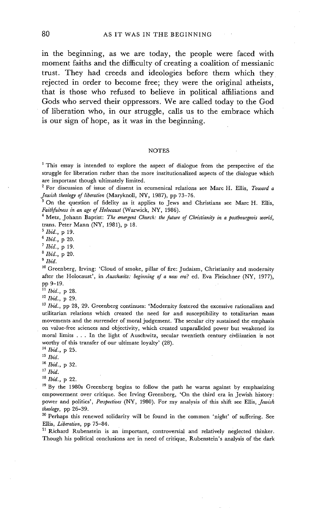**in the beginning, as we are today, the people were faced with moment faiths and the difficulty of creating a coalition of messianic trust. They had creeds and ideologies before them which they rejected in order to become free; they were the original atheists, that is those who refused to believe in political affiliations and Gods who served their oppressors. We are called today to the God of liberation who, in our struggle, calls us to the embrace which is our sign of hope, as it was in the beginning.** 

#### **NOTES**

<sup>1</sup> This essay is intended to explore the aspect of dialogue from the perspective of the struggle for liberation rather than the more institutionalized aspects of the dialogue which are important though ultimately limited.

2 For discussion of issue of dissent in ecumenical relations see Marc H. Ellis, *Toward a Jewish theology of liberation* (Maryknoll, NY, 1987), pp 73-76.

3 On the question of fidelity as it applies to Jews and Christians see Marc H. Ellis, *Faithfulness in an age of Holocaust* (Warwick, NY, 1986).

4 Metz, Johann Baptist: *The emergent Church: the future of Christianity in a postbourgeois world,*  trans. Peter Mann (NY, 1981), p 18.

*5 Ibid.,* p 19.

*6 Ibid.,* p 20.

*7 Ibid.,* p 19.

*Ibid.,* p 20.

*9 Ibid.* 

<sup>10</sup> Greenberg, Irving: 'Cloud of smoke, pillar of fire: Judaism, Christianity and modernity after the Holocaust', in *Auschwitz: beginning of a new era?* ed. Eva Fleischner (NY, 1977), pp 9-19.

*al Ibid.,* p 28.

*12 Ibid.,* p 29.

*13 Ibid.,* pp 28, 29. Greenberg continues: 'Modernity fostered the excessive rationalism and utilitarian relations which created the need for and susceptibility to totalitarian mass movements and the surrender of moral judgement. The secular city sustained the emphasis on value-free sciences and objectivity, which created unparalleled power but weakened its moral limits . . . In the light of Auschwitz, secular twentieth century civliization is not worthy of this transfer of our ultimate loyalty' (28).

*J\* Ibid.,* p 25.

*i5 Ibid.* 

*16 Ibid.,* p 32.

*17 Ibid.* 

*J8 Ibid.,* p 22.

<sup>19</sup> By the 1980s Greenberg begins to follow the path he warns against by emphasizing empowerment over critique. See Irving Greenberg, 'On the third era in Jewish history: power and politics', *Perspectives* (NY, 1980). For my analysis of this shift see Ellis, *Jewish theology,* pp 26-39.

<sup>20</sup> Perhaps this renewed solidarity will be found in the common 'night' of suffering. See Ellis, *Liberation,* pp 75-84.

<sup>21</sup> Richard Rubenstein is an important, controversial and relatively neglected thinker. Though his political conclusions are in need of critique, Rubenstein's analysis of the dark